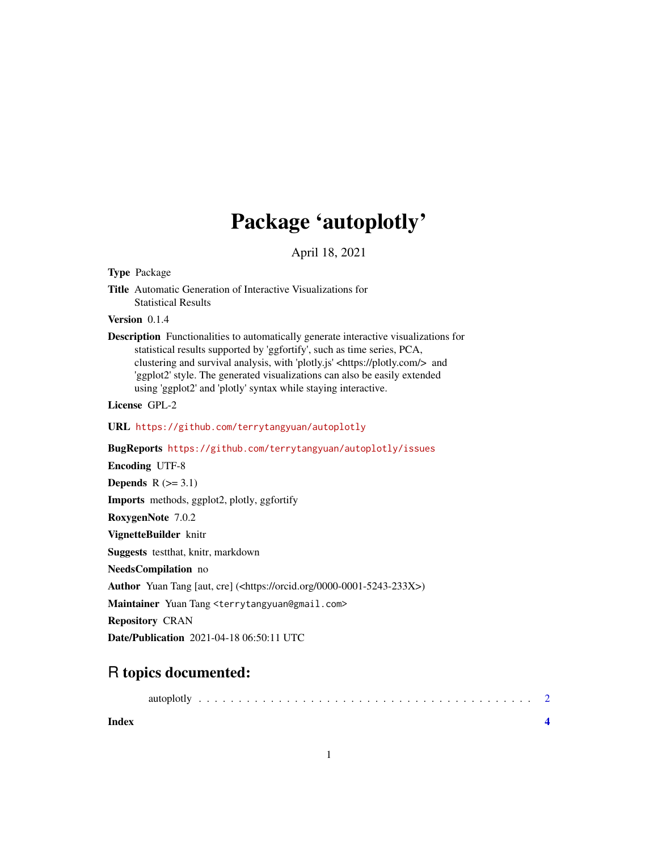## Package 'autoplotly'

April 18, 2021

<span id="page-0-0"></span>Type Package

Title Automatic Generation of Interactive Visualizations for Statistical Results

Version 0.1.4

Description Functionalities to automatically generate interactive visualizations for statistical results supported by 'ggfortify', such as time series, PCA, clustering and survival analysis, with 'plotly.js' <https://plotly.com/> and 'ggplot2' style. The generated visualizations can also be easily extended using 'ggplot2' and 'plotly' syntax while staying interactive.

License GPL-2

URL <https://github.com/terrytangyuan/autoplotly>

BugReports <https://github.com/terrytangyuan/autoplotly/issues>

Encoding UTF-8 Depends  $R$  ( $>= 3.1$ ) Imports methods, ggplot2, plotly, ggfortify RoxygenNote 7.0.2 VignetteBuilder knitr Suggests testthat, knitr, markdown NeedsCompilation no Author Yuan Tang [aut, cre] (<https://orcid.org/0000-0001-5243-233X>) Maintainer Yuan Tang <terrytangyuan@gmail.com> Repository CRAN Date/Publication 2021-04-18 06:50:11 UTC

### R topics documented:

**Index** [4](#page-3-0)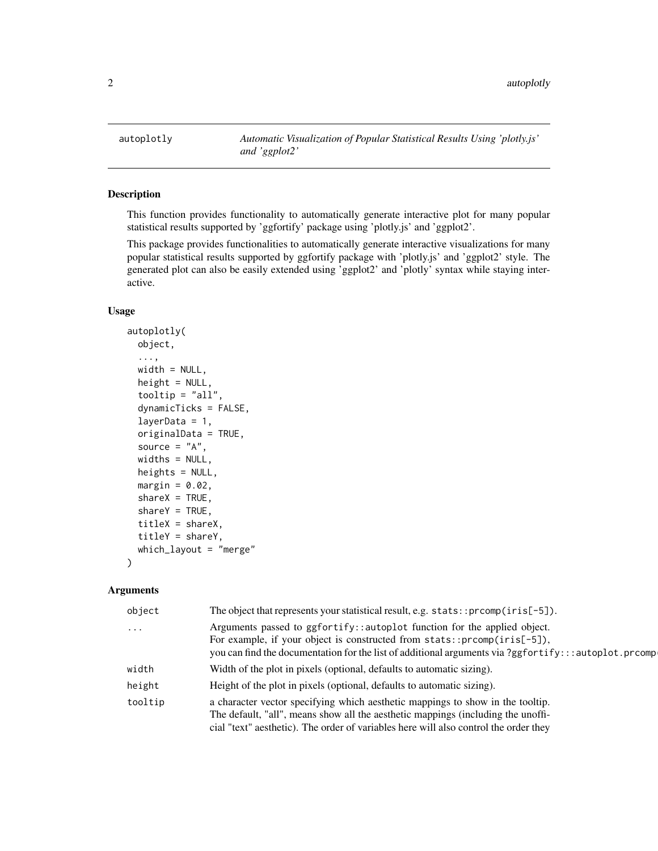<span id="page-1-0"></span>autoplotly *Automatic Visualization of Popular Statistical Results Using 'plotly.js' and 'ggplot2'*

#### Description

This function provides functionality to automatically generate interactive plot for many popular statistical results supported by 'ggfortify' package using 'plotly.js' and 'ggplot2'.

This package provides functionalities to automatically generate interactive visualizations for many popular statistical results supported by ggfortify package with 'plotly.js' and 'ggplot2' style. The generated plot can also be easily extended using 'ggplot2' and 'plotly' syntax while staying interactive.

#### Usage

```
autoplotly(
 object,
  ...,
 width = NULL,
 height = NULL,tooltip = "all",
  dynamicTicks = FALSE,
  layerData = 1,originalData = TRUE,
  source = "A",widths = NULL,
 heights = NULL,
 margin = 0.02,
  shareX = TRUE,shareY = TRUE,titleX = shareX,titleY = shareY,
  which_layout = "merge"
```
#### Arguments

)

| object   | The object that represents your statistical result, e.g. $stats::\text{prcomp}(iris[-5])$ .                                                                                                                                                                  |
|----------|--------------------------------------------------------------------------------------------------------------------------------------------------------------------------------------------------------------------------------------------------------------|
| $\cdots$ | Arguments passed to ggfortify::autoplot function for the applied object.<br>For example, if your object is constructed from stats::prcomp(iris[-5]),<br>you can find the documentation for the list of additional arguments via ?ggfortify:::autoplot.prcomp |
| width    | Width of the plot in pixels (optional, defaults to automatic sizing).                                                                                                                                                                                        |
| height   | Height of the plot in pixels (optional, defaults to automatic sizing).                                                                                                                                                                                       |
| tooltip  | a character vector specifying which aesthetic mappings to show in the tooltip.<br>The default, "all", means show all the aesthetic mappings (including the unoffi-<br>cial "text" aesthetic). The order of variables here will also control the order they   |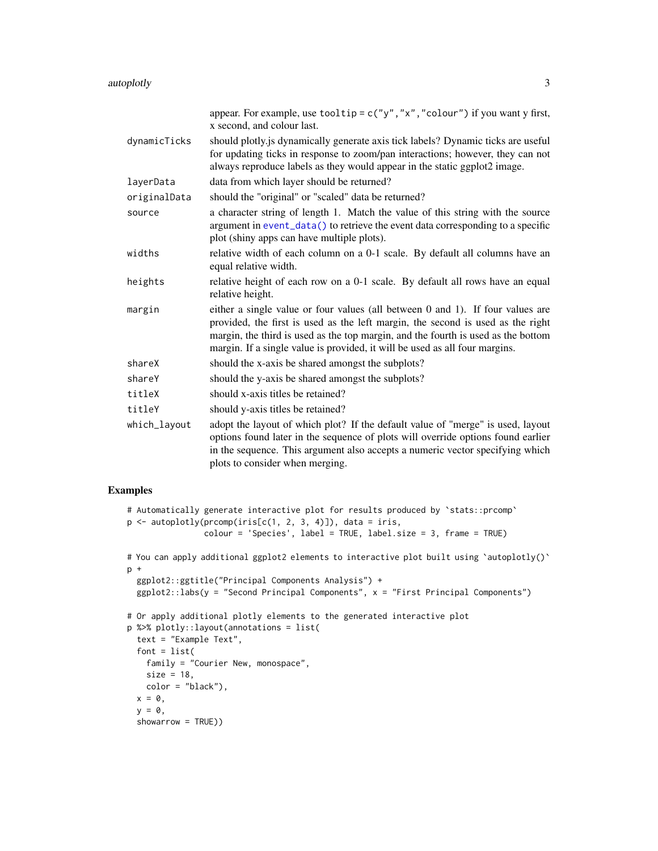<span id="page-2-0"></span>autoplotly 3

|              | appear. For example, use tooltip = $c("y", "x", "colour")$ if you want y first,<br>x second, and colour last.                                                                                                                                                                                                                              |
|--------------|--------------------------------------------------------------------------------------------------------------------------------------------------------------------------------------------------------------------------------------------------------------------------------------------------------------------------------------------|
| dynamicTicks | should plotly is dynamically generate axis tick labels? Dynamic ticks are useful<br>for updating ticks in response to zoom/pan interactions; however, they can not<br>always reproduce labels as they would appear in the static ggplot2 image.                                                                                            |
| layerData    | data from which layer should be returned?                                                                                                                                                                                                                                                                                                  |
| originalData | should the "original" or "scaled" data be returned?                                                                                                                                                                                                                                                                                        |
| source       | a character string of length 1. Match the value of this string with the source<br>argument in event_data() to retrieve the event data corresponding to a specific<br>plot (shiny apps can have multiple plots).                                                                                                                            |
| widths       | relative width of each column on a 0-1 scale. By default all columns have an<br>equal relative width.                                                                                                                                                                                                                                      |
| heights      | relative height of each row on a 0-1 scale. By default all rows have an equal<br>relative height.                                                                                                                                                                                                                                          |
| margin       | either a single value or four values (all between $0$ and $1$ ). If four values are<br>provided, the first is used as the left margin, the second is used as the right<br>margin, the third is used as the top margin, and the fourth is used as the bottom<br>margin. If a single value is provided, it will be used as all four margins. |
| shareX       | should the x-axis be shared amongst the subplots?                                                                                                                                                                                                                                                                                          |
| shareY       | should the y-axis be shared amongst the subplots?                                                                                                                                                                                                                                                                                          |
| titleX       | should x-axis titles be retained?                                                                                                                                                                                                                                                                                                          |
| titleY       | should y-axis titles be retained?                                                                                                                                                                                                                                                                                                          |
| which_layout | adopt the layout of which plot? If the default value of "merge" is used, layout<br>options found later in the sequence of plots will override options found earlier<br>in the sequence. This argument also accepts a numeric vector specifying which<br>plots to consider when merging.                                                    |

#### Examples

```
# Automatically generate interactive plot for results produced by `stats::prcomp`
p \leftarrow \text{autophotly}(\text{prcomp}(iris[c(1, 2, 3, 4)]), data = iris,colour = 'Species', label = TRUE, label.size = 3, frame = TRUE)
# You can apply additional ggplot2 elements to interactive plot built using `autoplotly()`
p +
  ggplot2::ggtitle("Principal Components Analysis") +
  ggplot2::labs(y = "Second Principal Components", x = "First Principal Components")
# Or apply additional plotly elements to the generated interactive plot
p %>% plotly::layout(annotations = list(
 text = "Example Text",
  font = list(family = "Courier New, monospace",
    size = 18,
    color = "black"),
  x = 0,
  y = 0,
  showarrow = TRUE))
```